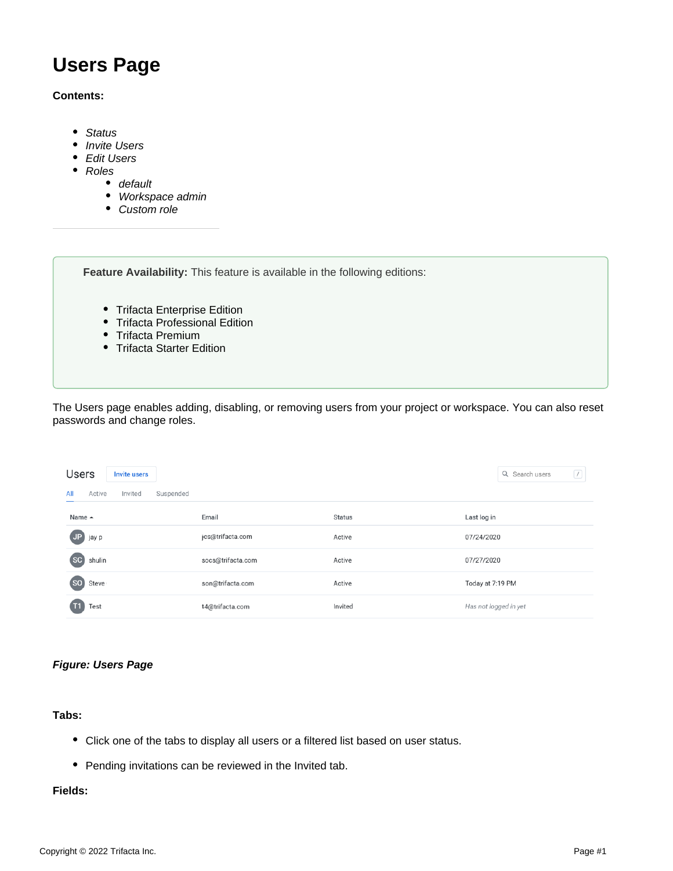# **Users Page**

### **Contents:**

- [Status](#page-1-0)
- [Invite Users](#page-2-0)
- **[Edit Users](#page-2-1)**
- [Roles](#page-2-2)
	- [default](#page-2-3)
	- [Workspace admin](#page-2-4)
	- [Custom role](#page-2-5)

**Feature Availability:** This feature is available in the following editions:

- Trifacta Enterprise Edition
- Trifacta Professional Edition
- Trifacta Premium
- Trifacta Starter Edition

The Users page enables adding, disabling, or removing users from your project or workspace. You can also reset passwords and change roles.

| <b>Users</b>          | <b>Invite users</b>  |                   |               | Q Search users<br>$\boxed{1}$ |
|-----------------------|----------------------|-------------------|---------------|-------------------------------|
| All<br>Active         | Invited<br>Suspended |                   |               |                               |
| Name ▲                |                      | Email             | <b>Status</b> | Last log in                   |
| JP jay p              |                      | jcs@trifacta.com  | Active        | 07/24/2020                    |
| $5$<br>shulin         |                      | socs@trifacta.com | Active        | 07/27/2020                    |
| $50$<br>Steve         |                      | son@trifacta.com  | Active        | Today at 7:19 PM              |
| Test<br>$\mathsf{T}1$ |                      | t4@trifacta.com   | Invited       | Has not logged in yet         |

# **Figure: Users Page**

**Tabs:** 

- Click one of the tabs to display all users or a filtered list based on user status.
- Pending invitations can be reviewed in the Invited tab.

### **Fields:**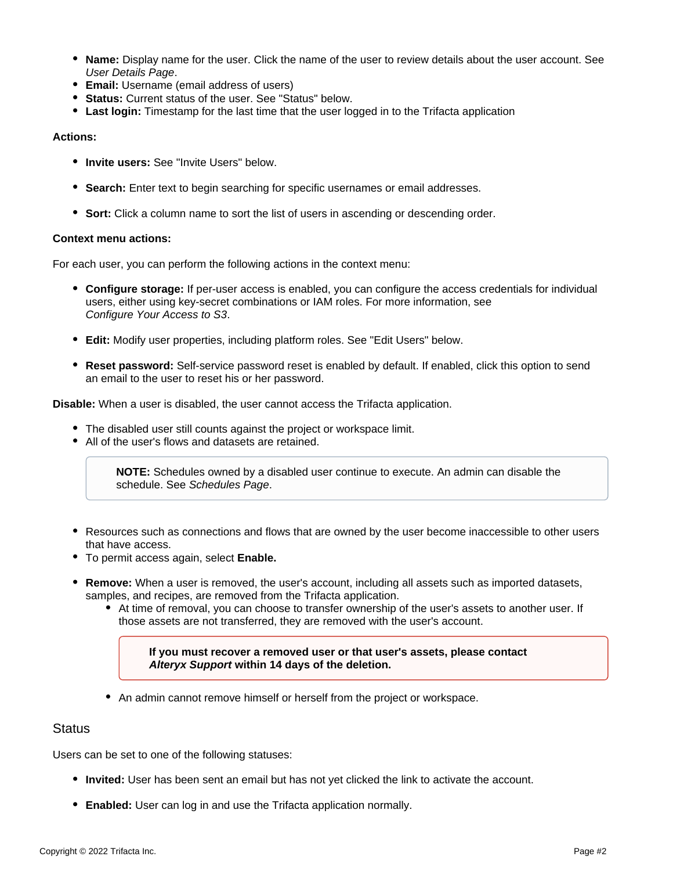- **Name:** Display name for the user. Click the name of the user to review details about the user account. See [User Details Page](https://docs.trifacta.com/display/AWS/User+Details+Page).
- **Email:** Username (email address of users)
- **Status:** Current status of the user. See "Status" below.
- **Last login:** Timestamp for the last time that the user logged in to the Trifacta application

#### **Actions:**

- **Invite users:** See "Invite Users" below.
- **Search:** Enter text to begin searching for specific usernames or email addresses.
- **Sort:** Click a column name to sort the list of users in ascending or descending order.

#### **Context menu actions:**

For each user, you can perform the following actions in the context menu:

- **Configure storage:** If per-user access is enabled, you can configure the access credentials for individual users, either using key-secret combinations or IAM roles. For more information, see [Configure Your Access to S3](https://docs.trifacta.com/display/AWS/Configure+Your+Access+to+S3).
- **Edit:** Modify user properties, including platform roles. See "Edit Users" below.
- **Reset password:** Self-service password reset is enabled by default. If enabled, click this option to send an email to the user to reset his or her password.

**Disable:** When a user is disabled, the user cannot access the Trifacta application.

- The disabled user still counts against the project or workspace limit.
- All of the user's flows and datasets are retained.

**NOTE:** Schedules owned by a disabled user continue to execute. An admin can disable the schedule. See [Schedules Page](https://docs.trifacta.com/display/AWS/Schedules+Page).

- Resources such as connections and flows that are owned by the user become inaccessible to other users that have access.
- To permit access again, select **Enable.**
- **Remove:** When a user is removed, the user's account, including all assets such as imported datasets, samples, and recipes, are removed from the Trifacta application.
	- At time of removal, you can choose to transfer ownership of the user's assets to another user. If those assets are not transferred, they are removed with the user's account.

**If you must recover a removed user or that user's assets, please contact [Alteryx Support](https://docs.trifacta.com/display/HOME/Contact+Support) within 14 days of the deletion.**

• An admin cannot remove himself or herself from the project or workspace.

# <span id="page-1-0"></span>**Status**

Users can be set to one of the following statuses:

- **Invited:** User has been sent an email but has not yet clicked the link to activate the account.
- **Enabled:** User can log in and use the Trifacta application normally.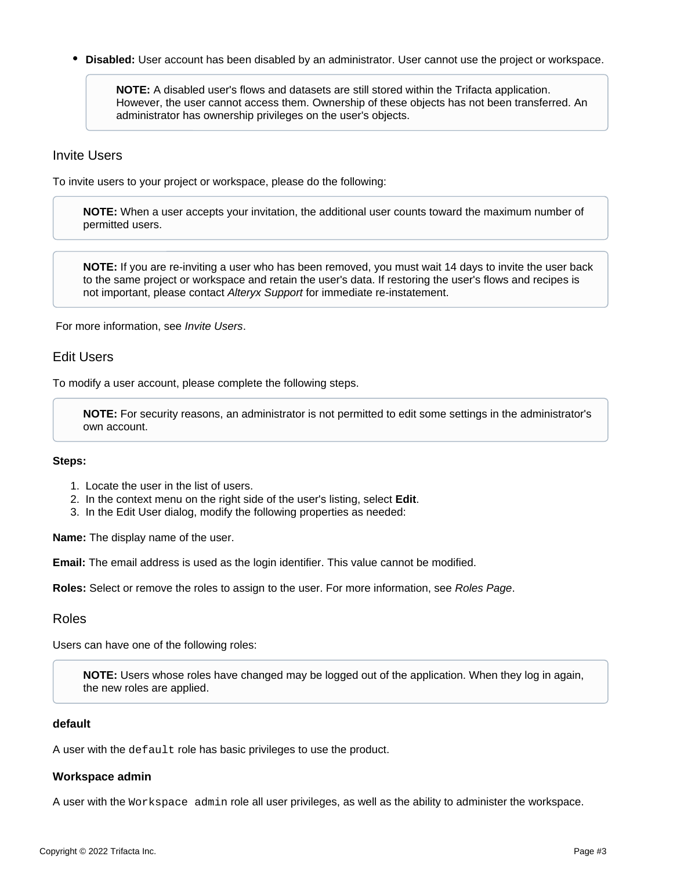$\bullet$ **Disabled:** User account has been disabled by an administrator. User cannot use the project or workspace.

**NOTE:** A disabled user's flows and datasets are still stored within the Trifacta application. However, the user cannot access them. Ownership of these objects has not been transferred. An administrator has ownership privileges on the user's objects.

# <span id="page-2-0"></span>Invite Users

To invite users to your project or workspace, please do the following:

**NOTE:** When a user accepts your invitation, the additional user counts toward the maximum number of permitted users.

**NOTE:** If you are re-inviting a user who has been removed, you must wait 14 days to invite the user back to the same project or workspace and retain the user's data. If restoring the user's flows and recipes is not important, please contact [Alteryx Support](https://docs.trifacta.com/display/HOME/Contact+Support) for immediate re-instatement.

For more information, see [Invite Users](https://docs.trifacta.com/display/AWS/Invite+Users).

# <span id="page-2-1"></span>Edit Users

To modify a user account, please complete the following steps.

**NOTE:** For security reasons, an administrator is not permitted to edit some settings in the administrator's own account.

#### **Steps:**

- 1. Locate the user in the list of users.
- 2. In the context menu on the right side of the user's listing, select **Edit**.
- 3. In the Edit User dialog, modify the following properties as needed:

**Name:** The display name of the user.

**Email:** The email address is used as the login identifier. This value cannot be modified.

**Roles:** Select or remove the roles to assign to the user. For more information, see [Roles Page](https://docs.trifacta.com/display/AWS/Roles+Page).

#### <span id="page-2-2"></span>Roles

Users can have one of the following roles:

**NOTE:** Users whose roles have changed may be logged out of the application. When they log in again, the new roles are applied.

### <span id="page-2-3"></span>**default**

A user with the default role has basic privileges to use the product.

#### <span id="page-2-4"></span>**Workspace admin**

<span id="page-2-5"></span>A user with the Workspace admin role all user privileges, as well as the ability to administer the workspace.